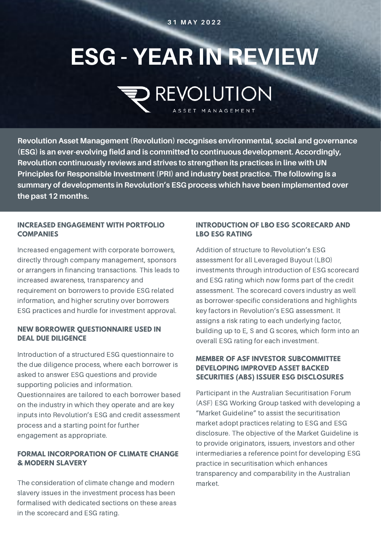#### **3 1 M A Y 2 0 2 2**

# **ESG - YEAR IN REVIEW REVOLUTION**

ASSET MANAGEMENT

**Revolution Asset Management (Revolution) recognises environmental, social and governance (ESG) is an ever-evolving field and is committed to continuous development. Accordingly, Revolution continuously reviews and strives to strengthen its practices in line with UN Principles for Responsible Investment (PRI) and industry best practice. The following is a summary of developments in Revolution's ESG process which have been implemented over the past 12 months.**

#### **INCREASED ENGAGEMENT WITH PORTFOLIO COMPANIES**

Increased engagement with corporate borrowers, directly through company management, sponsors or arrangers in financing transactions. This leads to increased awareness, transparency and requirement on borrowers to provide ESG related information, and higher scrutiny over borrowers ESG practices and hurdle for investment approval.

### **NEW BORROWER QUESTIONNAIRE USED IN DEAL DUE DILIGENCE**

Introduction of a structured ESG questionnaire to the due diligence process, where each borrower is asked to answer ESG questions and provide supporting policies and information.

Questionnaires are tailored to each borrower based on the industry in which they operate and are key inputs into Revolution's ESG and credit assessment process and a starting point for further engagement as appropriate.

# **FORMAL INCORPORATION OF CLIMATE CHANGE & MODERN SLAVERY**

The consideration of climate change and modern slavery issues in the investment process has been formalised with dedicated sections on these areas in the scorecard and ESG rating.

# **INTRODUCTION OF LBO ESG SCORECARD AND LBO ESG RATING**

Addition of structure to Revolution's ESG assessment for all Leveraged Buyout (LBO) investments through introduction of ESG scorecard and ESG rating which now forms part of the credit assessment. The scorecard covers industry as well as borrower-specific considerations and highlights key factors in Revolution's ESG assessment. It assigns a risk rating to each underlying factor, building up to E, S and G scores, which form into an overall ESG rating for each investment.

# **MEMBER OF ASF INVESTOR SUBCOMMITTEE DEVELOPING IMPROVED ASSET BACKED SECURITIES (ABS) ISSUER ESG DISCLOSURES**

Participant in the Australian Securitisation Forum (ASF) ESG Working Group tasked with developing a "Market Guideline" to assist the securitisation market adopt practices relating to ESG and ESG disclosure. The objective of the Market Guideline is to provide originators, issuers, investors and other intermediaries a reference point for developing ESG practice in securitisation which enhances transparency and comparability in the Australian market.